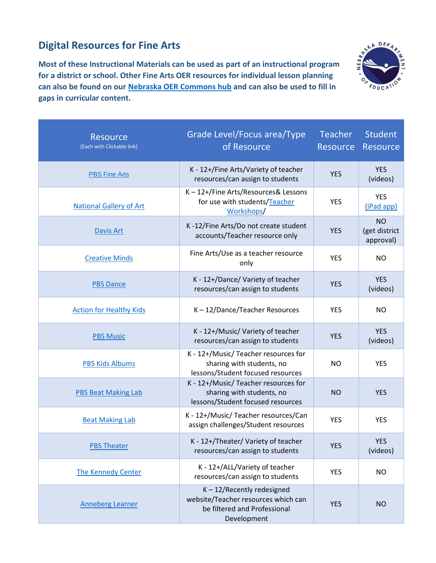## **Digital Resources for Fine Arts**

**Most of these Instructional Materials can be used as part of an instructional program for a district or school. Other Fine Arts OER resources for individual lesson planning can also be found on our [Nebraska OER Commons hub](https://www.oercommons.org/hubs/nebraska) and can also be used to fill in gaps in curricular content.**



| <b>Resource</b><br>(Each with Clickable link) | Grade Level/Focus area/Type<br>of Resource                                                                          | <b>Teacher</b><br><b>Resource</b> | <b>Student</b><br><b>Resource</b>       |
|-----------------------------------------------|---------------------------------------------------------------------------------------------------------------------|-----------------------------------|-----------------------------------------|
| <b>PBS Fine Arts</b>                          | K - 12+/Fine Arts/Variety of teacher<br>resources/can assign to students                                            | <b>YES</b>                        | <b>YES</b><br>(videos)                  |
| <b>National Gallery of Art</b>                | K-12+/Fine Arts/Resources& Lessons<br>for use with students/Teacher<br>Workshops/                                   | <b>YES</b>                        | <b>YES</b><br>(iPad app)                |
| <b>Davis Art</b>                              | K-12/Fine Arts/Do not create student<br>accounts/Teacher resource only                                              | <b>YES</b>                        | <b>NO</b><br>(get district<br>approval) |
| <b>Creative Minds</b>                         | Fine Arts/Use as a teacher resource<br>only                                                                         | <b>YES</b>                        | <b>NO</b>                               |
| <b>PBS Dance</b>                              | K - 12+/Dance/ Variety of teacher<br>resources/can assign to students                                               | <b>YES</b>                        | <b>YES</b><br>(videos)                  |
| <b>Action for Healthy Kids</b>                | K-12/Dance/Teacher Resources                                                                                        | <b>YES</b>                        | <b>NO</b>                               |
| <b>PBS Music</b>                              | K - 12+/Music/ Variety of teacher<br>resources/can assign to students                                               | <b>YES</b>                        | <b>YES</b><br>(videos)                  |
| <b>PBS Kids Albums</b>                        | K - 12+/Music/ Teacher resources for<br>sharing with students, no<br>lessons/Student focused resources              | <b>NO</b>                         | <b>YES</b>                              |
| <b>PBS Beat Making Lab</b>                    | K - 12+/Music/ Teacher resources for<br>sharing with students, no<br>lessons/Student focused resources              | <b>NO</b>                         | <b>YES</b>                              |
| <b>Beat Making Lab</b>                        | K - 12+/Music/ Teacher resources/Can<br>assign challenges/Student resources                                         | <b>YES</b>                        | <b>YES</b>                              |
| <b>PBS Theater</b>                            | K - 12+/Theater/ Variety of teacher<br>resources/can assign to students                                             | <b>YES</b>                        | <b>YES</b><br>(videos)                  |
| <b>The Kennedy Center</b>                     | K - 12+/ALL/Variety of teacher<br>resources/can assign to students                                                  | <b>YES</b>                        | <b>NO</b>                               |
| <b>Anneberg Learner</b>                       | $K - 12/$ Recently redesigned<br>website/Teacher resources which can<br>be filtered and Professional<br>Development | <b>YES</b>                        | <b>NO</b>                               |